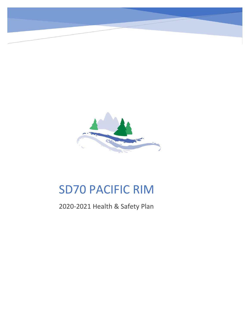

# SD70 PACIFIC RIM

2020-2021 Health & Safety Plan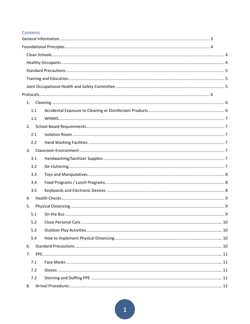# Contents

| 1.1 |  |
|-----|--|
| 1.2 |  |
| 2.  |  |
| 2.1 |  |
| 2.2 |  |
|     |  |
| 3.1 |  |
| 3.2 |  |
| 3.3 |  |
| 3.4 |  |
| 3.5 |  |
| 4.  |  |
| 5.  |  |
| 5.1 |  |
| 5.2 |  |
| 5.3 |  |
| 5.4 |  |
| 6.  |  |
| 7.  |  |
| 7.1 |  |
| 7.2 |  |
| 7.3 |  |
| 8.  |  |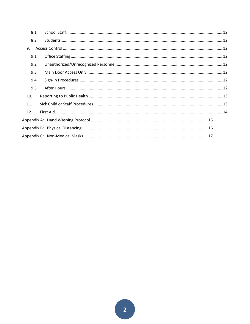| 8.1 |  |
|-----|--|
| 8.2 |  |
| 9.  |  |
| 9.1 |  |
| 9.2 |  |
| 9.3 |  |
| 9.4 |  |
| 9.5 |  |
| 10. |  |
| 11. |  |
| 12. |  |
|     |  |
|     |  |
|     |  |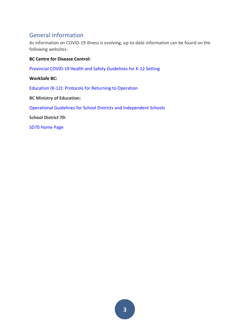# <span id="page-3-0"></span>General Information

As information on COVID-19 illness is evolving, up-to-date information can be found on the following websites:

# **BC Centre for Disease Control:**

[Provincial COVID-19 Health and Safety Guidelines for K-12 Setting](https://www2.gov.bc.ca/assets/gov/education/administration/kindergarten-to-grade-12/safe-caring-orderly/k-12-covid-19-health-safety-guidlines.pdf)

#### **WorkSafe BC:**

[Education \(K-12\): Protocols for Returning to Operation](https://www.worksafebc.com/en/about-us/covid-19-updates/covid-19-returning-safe-operation/education)

**BC Ministry of Education:**

[Operational Guidelines for School Districts and Independent Schools](https://www2.gov.bc.ca/gov/content/education-training/k-12/administration/program-management/safe-caring-and-orderly-schools/planning-framework)

**School District 70:**

[SD70 Home Page](https://www.sd70.bc.ca/)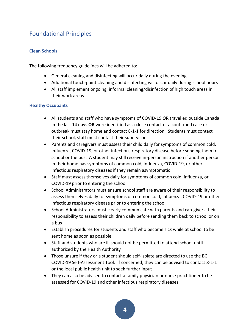# <span id="page-4-0"></span>Foundational Principles

# <span id="page-4-1"></span>**Clean Schools**

The following frequency guidelines will be adhered to:

- General cleaning and disinfecting will occur daily during the evening
- Additional touch-point cleaning and disinfecting will occur daily during school hours
- All staff implement ongoing, informal cleaning/disinfection of high touch areas in their work areas

#### <span id="page-4-2"></span>**Healthy Occupants**

- All students and staff who have symptoms of COVID-19 **OR** travelled outside Canada in the last 14 days **OR** were identified as a close contact of a confirmed case or outbreak must stay home and contact 8-1-1 for direction. Students must contact their school, staff must contact their supervisor
- Parents and caregivers must assess their child daily for symptoms of common cold, influenza, COVID-19, or other infectious respiratory disease before sending them to school or the bus. A student may still receive in-person instruction if another person in their home has symptoms of common cold, influenza, COVID-19, or other infectious respiratory diseases if they remain asymptomatic
- Staff must assess themselves daily for symptoms of common cold, influenza, or COVID-19 prior to entering the school
- School Administrators must ensure school staff are aware of their responsibility to assess themselves daily for symptoms of common cold, influenza, COVID-19 or other infectious respiratory disease prior to entering the school
- School Administrators must clearly communicate with parents and caregivers their responsibility to assess their children daily before sending them back to school or on a bus
- Establish procedures for students and staff who become sick while at school to be sent home as soon as possible.
- Staff and students who are ill should not be permitted to attend school until authorized by the Health Authority
- Those unsure if they or a student should self-isolate are directed to use the BC COVID-19 Self-Assessment Tool. If concerned, they can be advised to contact 8-1-1 or the local public health unit to seek further input
- They can also be advised to contact a family physician or nurse practitioner to be assessed for COVID-19 and other infectious respiratory diseases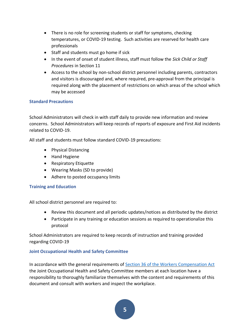- There is no role for screening students or staff for symptoms, checking temperatures, or COVID-19 testing. Such activities are reserved for health care professionals
- Staff and students must go home if sick
- In the event of onset of student illness, staff must follow the *Sick Child or Staff Procedures* in Section 11
- Access to the school by non-school district personnel including parents, contractors and visitors is discouraged and, where required, pre-approval from the principal is required along with the placement of restrictions on which areas of the school which may be accessed

# <span id="page-5-0"></span>**Standard Precautions**

School Administrators will check in with staff daily to provide new information and review concerns. School Administrators will keep records of reports of exposure and First Aid incidents related to COVID-19.

All staff and students must follow standard COVID-19 precautions:

- Physical Distancing
- Hand Hygiene
- Respiratory Etiquette
- Wearing Masks (SD to provide)
- Adhere to posted occupancy limits

# <span id="page-5-1"></span>**Training and Education**

All school district personnel are required to:

- Review this document and all periodic updates/notices as distributed by the district
- Participate in any training or education sessions as required to operationalize this protocol

School Administrators are required to keep records of instruction and training provided regarding COVID-19

# <span id="page-5-2"></span>**Joint Occupational Health and Safety Committee**

In accordance with the general requirements of Section 36 [of the Workers Compensation Act](https://www.worksafebc.com/en/law-policy/occupational-health-safety/searchable-ohs-regulation/workers-compensation-act/part-2-occupational-health-and-safety#SectionNumber:Part2Div5Sec36) the Joint Occupational Health and Safety Committee members at each location have a responsibility to thoroughly familiarize themselves with the content and requirements of this document and consult with workers and inspect the workplace.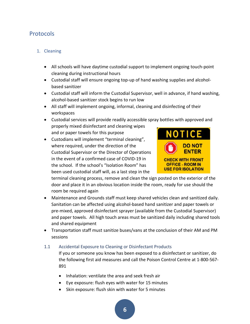# <span id="page-6-0"></span>Protocols

# <span id="page-6-1"></span>1. Cleaning

- All schools will have daytime custodial support to implement ongoing touch-point cleaning during instructional hours
- Custodial staff will ensure ongoing top-up of hand washing supplies and alcoholbased sanitizer
- Custodial staff will inform the Custodial Supervisor, well in advance, if hand washing, alcohol-based sanitizer stock begins to run low
- All staff will implement ongoing, informal, cleaning and disinfecting of their workspaces

• Custodial services will provide readily accessible spray bottles with approved and properly mixed disinfectant and cleaning wipes and or paper towels for this purpose

• Custodians will implement "terminal cleaning", where required, under the direction of the Custodial Supervisor or the Director of Operations in the event of a confirmed case of COVID-19 in the school. If the school's "Isolation Room" has been used custodial staff will, as a last step in the



terminal cleaning process, remove and clean the sign posted on the exterior of the door and place it in an obvious location inside the room, ready for use should the room be required again

- Maintenance and Grounds staff must keep shared vehicles clean and sanitized daily. Sanitation can be affected using alcohol-based hand sanitizer and paper towels or pre-mixed, approved disinfectant sprayer (available from the Custodial Supervisor) and paper towels. All high touch areas must be sanitized daily including shared tools and shared equipment
- Transportation staff must sanitize buses/vans at the conclusion of their AM and PM sessions

# <span id="page-6-2"></span>1.1 Accidental Exposure to Cleaning or Disinfectant Products

If you or someone you know has been exposed to a disinfectant or sanitizer, do the following first aid measures and call the [Poison Control Centre](http://www.dpic.org/) at 1-800-567- 891

- Inhalation: ventilate the area and seek fresh air
- Eye exposure: flush eyes with water for 15 minutes
- Skin exposure: flush skin with water for 5 minutes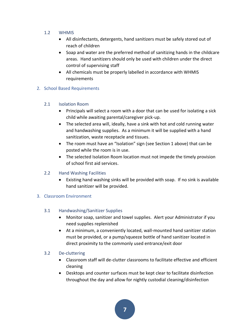- <span id="page-7-0"></span>1.2 WHMIS
	- All disinfectants, detergents, hand sanitizers must be safely stored out of reach of children
	- Soap and water are the preferred method of sanitizing hands in the childcare areas. Hand sanitizers should only be used with children under the direct control of supervising staff
	- All chemicals must be properly labelled in accordance with WHMIS requirements

#### <span id="page-7-1"></span>2. School Based Requirements

#### <span id="page-7-2"></span>2.1 Isolation Room

- Principals will select a room with a door that can be used for isolating a sick child while awaiting parental/caregiver pick-up.
- The selected area will, ideally, have a sink with hot and cold running water and handwashing supplies. As a minimum it will be supplied with a hand sanitization, waste receptacle and tissues.
- The room must have an "Isolation" sign (see Section 1 above) that can be posted while the room is in use.
- The selected Isolation Room location must not impede the timely provision of school first aid services.

# <span id="page-7-3"></span>2.2 Hand Washing Facilities

• Existing hand washing sinks will be provided with soap. If no sink is available hand sanitizer will be provided.

# <span id="page-7-5"></span><span id="page-7-4"></span>3. Classroom Environment

# 3.1 Handwashing/Sanitizer Supplies

- Monitor soap, sanitizer and towel supplies. Alert your Administrator if you need supplies replenished
- At a minimum, a conveniently located, wall-mounted hand sanitizer station must be provided, or a pump/squeeze bottle of hand sanitizer located in direct proximity to the commonly used entrance/exit door

# <span id="page-7-6"></span>3.2 De-cluttering

- Classroom staff will de-clutter classrooms to facilitate effective and efficient cleaning
- Desktops and counter surfaces must be kept clear to facilitate disinfection throughout the day and allow for nightly custodial cleaning/disinfection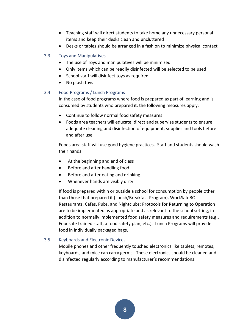- Teaching staff will direct students to take home any unnecessary personal items and keep their desks clean and uncluttered
- Desks or tables should be arranged in a fashion to minimize physical contact

#### <span id="page-8-0"></span>3.3 Toys and Manipulatives

- The use of Toys and manipulatives will be minimized
- Only items which can be readily disinfected will be selected to be used
- School staff will disinfect toys as required
- No plush toys

#### <span id="page-8-1"></span>3.4 Food Programs / Lunch Programs

In the case of food programs where food is prepared as part of learning and is consumed by students who prepared it, the following measures apply:

- Continue to follow normal food safety measures
- Foods area teachers will educate, direct and supervise students to ensure adequate cleaning and disinfection of equipment, supplies and tools before and after use

Foods area staff will use good hygiene practices. Staff and students should wash their hands:

- At the beginning and end of class
- Before and after handling food
- Before and after eating and drinking
- Whenever hands are visibly dirty

If food is prepared within or outside a school for consumption by people other than those that prepared it (Lunch/Breakfast Program), WorkSafeBC Restaurants, Cafes, Pubs, and Nightclubs: Protocols for Returning to Operation are to be implemented as appropriate and as relevant to the school setting, in addition to normally implemented food safety measures and requirements (e.g., Foodsafe trained staff, a food safety plan, etc.). Lunch Programs will provide food in individually packaged bags.

# <span id="page-8-2"></span>3.5 Keyboards and Electronic Devices

Mobile phones and other frequently touched electronics like tablets, remotes, keyboards, and mice can carry germs. These electronics should be cleaned and disinfected regularly according to manufacturer's recommendations.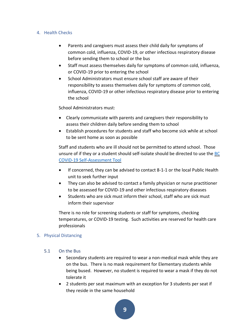#### <span id="page-9-0"></span>4. Health Checks

- Parents and caregivers must assess their child daily for symptoms of common cold, influenza, COVID-19, or other infectious respiratory disease before sending them to school or the bus
- Staff must assess themselves daily for symptoms of common cold, influenza, or COVID-19 prior to entering the school
- School Administrators must ensure school staff are aware of their responsibility to assess themselves daily for symptoms of common cold, influenza, COVID-19 or other infectious respiratory disease prior to entering the school

School Administrators must:

- Clearly communicate with parents and caregivers their responsibility to assess their children daily before sending them to school
- Establish procedures for students and staff who become sick while at school to be sent home as soon as possible

Staff and students who are ill should not be permitted to attend school. Those unsure of if they or a student should self-isolate should be directed to use the [BC](https://bc.thrive.health/)  [COVID-19 Self-Assessment Tool](https://bc.thrive.health/)

- If concerned, they can be advised to contact 8-1-1 or the local Public Health unit to seek further input
- They can also be advised to contact a family physician or nurse practitioner to be assessed for COVID-19 and other infectious respiratory diseases
- Students who are sick must inform their school, staff who are sick must inform their supervisor

There is no role for screening students or staff for symptoms, checking temperatures, or COVID-19 testing. Such activities are reserved for health care professionals

# <span id="page-9-1"></span>5. Physical Distancing

- <span id="page-9-2"></span>5.1 On the Bus
	- Secondary students are required to wear a non-medical mask while they are on the bus. There is no mask requirement for Elementary students while being bused. However, no student is required to wear a mask if they do not tolerate it
	- 2 students per seat maximum with an exception for 3 students per seat if they reside in the same household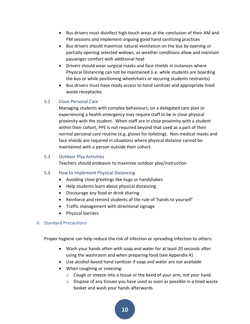- Bus drivers must disinfect high touch areas at the conclusion of their AM and PM sessions and implement ongoing good hand sanitizing practices
- Bus drivers should maximize natural ventilation on the bus by opening or partially opening selected widows, as weather conditions allow and maintain passenger comfort with additional heat
- Drivers should wear surgical masks and face shields in instances where Physical Distancing can not be maintained (i.e. while students are boarding the bus or while positioning wheelchairs or securing students restraints)
- Bus drivers must have ready access to hand sanitizer and appropriate lined waste receptacles

# <span id="page-10-0"></span>5.2 Close Personal Care

Managing students with complex behaviours, on a delegated care plan or experiencing a health emergency may require staff to be in close physical proximity with the student. When staff are in close proximity with a student within their cohort, PPE is not required beyond that used as a part of their normal personal care routine (e.g. gloves for toileting). Non-medical masks and face shields are required in situations where physical distance cannot be maintained with a person outside their cohort.

#### <span id="page-10-1"></span>5.3 Outdoor Play Activities

Teachers should endeavor to maximize outdoor play/instruction

#### <span id="page-10-2"></span>5.4 How to Implement Physical Distancing

- Avoiding close greetings like hugs or handshakes
- Help students learn about physical distancing
- Discourage any food or drink sharing
- Reinforce and remind students of the rule of 'hands to yourself'
- Traffic management with directional signage
- Physical barriers

#### <span id="page-10-3"></span>6. Standard Precautions

Proper hygiene can help reduce the risk of infection or spreading infection to others:

- Wash your hands often with soap and water for at least 20 seconds after using the washroom and when preparing food (see Appendix A)
- Use alcohol-based hand sanitizer if soap and water are not available
- When coughing or sneezing:
	- $\circ$  Cough or sneeze into a tissue or the bend of your arm, not your hand
	- o Dispose of any tissues you have used as soon as possible in a lined waste basket and wash your hands afterwards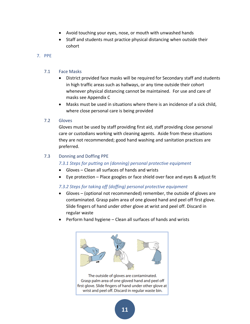- Avoid touching your eyes, nose, or mouth with unwashed hands
- Staff and students must practice physical distancing when outside their cohort

#### <span id="page-11-0"></span>7. PPE

#### <span id="page-11-1"></span>7.1 Face Masks

- District provided face masks will be required for Secondary staff and students in high traffic areas such as hallways, or any time outside their cohort whenever physical distancing cannot be maintained. For use and care of masks see Appendix C
- Masks must be used in situations where there is an incidence of a sick child, where close personal care is being provided

#### <span id="page-11-2"></span>7.2 Gloves

Gloves must be used by staff providing first aid, staff providing close personal care or custodians working with cleaning agents. Aside from these situations they are not recommended; good hand washing and sanitation practices are preferred.

#### <span id="page-11-3"></span>7.3 Donning and Doffing PPE

#### *7.3.1 Steps for putting on (donning) personal protective equipment*

- Gloves Clean all surfaces of hands and wrists
- Eye protection Place googles or face shield over face and eyes & adjust fit

# *7.3.2 Steps for taking off (doffing) personal protective equipment*

- Gloves (optional not recommended) remember, the outside of gloves are contaminated. Grasp palm area of one gloved hand and peel off first glove. Slide fingers of hand under other glove at wrist and peel off. Discard in regular waste
- Perform hand hygiene Clean all surfaces of hands and wrists



The outside of gloves are contaminated. Grasp palm area of one gloved hand and peel off first glove. Slide fingers of hand under other glove at wrist and peel off. Discard in regular waste bin.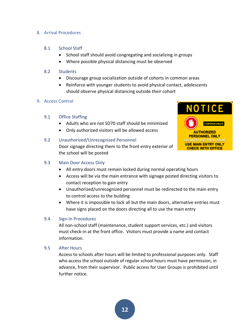#### <span id="page-12-0"></span>8. Arrival Procedures

#### <span id="page-12-1"></span>8.1 School Staff

- School staff should avoid congregating and socializing in groups
- Where possible physical distancing must be observed

#### <span id="page-12-2"></span>8.2 Students

- Discourage group socialization outside of cohorts in common areas
- Reinforce with younger students to avoid physical contact, adolescents should observe physical distancing outside their cohort

#### <span id="page-12-3"></span>9. Access Control

# <span id="page-12-4"></span>9.1 Office Staffing

- Adults who are not SD70 staff should be minimized
- Only authorized visitors will be allowed access

# <span id="page-12-5"></span>9.2 Unauthorized/Unrecognized Personnel

Door signage directing them to the front entry exterior of the school will be posted



# <span id="page-12-6"></span>9.3 Main Door Access Only

- All entry doors must remain locked during normal operating hours
- Access will be via the main entrance with signage posted directing visitors to contact reception to gain entry
- Unauthorized/unrecognized personnel must be redirected to the main entry to control access to the building
- Where it is impossible to lock all but the main doors, alternative entries must have signs placed on the doors directing all to use the main entry

# <span id="page-12-7"></span>9.4 Sign-In Procedures

All non-school staff (maintenance, student support services, etc.) and visitors must check-in at the front office. Visitors must provide a name and contact information.

# <span id="page-12-8"></span>9.5 After Hours

Access to schools after hours will be limited to professional purposes only. Staff who access the school outside of regular school hours must have permission, in advance, from their supervisor. Public access for User Groups is prohibited until further notice.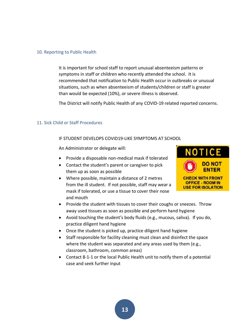#### <span id="page-13-0"></span>10. Reporting to Public Health

It is important for school staff to report unusual absenteeism patterns or symptoms in staff or children who recently attended the school. It is recommended that notification to Public Health occur in outbreaks or unusual situations, such as when absenteeism of students/children or staff is greater than would be expected (10%), or severe illness is observed.

The District will notify Public Health of any COVID-19 related reported concerns.

#### <span id="page-13-1"></span>11. Sick Child or Staff Procedures

#### IF STUDENT DEVELOPS COVID19-LIKE SYMPTOMS AT SCHOOL

An Administrator or delegate will:

- Provide a disposable non-medical mask if tolerated
- Contact the student's parent or caregiver to pick them up as soon as possible
- Where possible, maintain a distance of 2 metres from the ill student. If not possible, staff may wear a mask if tolerated, or use a tissue to cover their nose and mouth



- Provide the student with tissues to cover their coughs or sneezes. Throw away used tissues as soon as possible and perform hand hygiene
- Avoid touching the student's body fluids (e.g., mucous, saliva). If you do, practice diligent hand hygiene
- Once the student is picked up, practice diligent hand hygiene
- Staff responsible for facility cleaning must clean and disinfect the space where the student was separated and any areas used by them (e.g., classroom, bathroom, common areas)
- Contact 8-1-1 or the local Public Health unit to notify them of a potential case and seek further input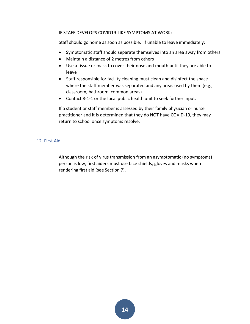#### IF STAFF DEVELOPS COVID19-LIKE SYMPTOMS AT WORK:

Staff should go home as soon as possible. If unable to leave immediately:

- Symptomatic staff should separate themselves into an area away from others
- Maintain a distance of 2 metres from others
- Use a tissue or mask to cover their nose and mouth until they are able to leave
- Staff responsible for facility cleaning must clean and disinfect the space where the staff member was separated and any areas used by them (e.g., classroom, bathroom, common areas)
- Contact 8-1-1 or the local public health unit to seek further input.

If a student or staff member is assessed by their family physician or nurse practitioner and it is determined that they do NOT have COVID-19, they may return to school once symptoms resolve.

#### <span id="page-14-0"></span>12. First Aid

Although the risk of virus transmission from an asymptomatic (no symptoms) person is low, first aiders must use face shields, gloves and masks when rendering first aid (see Section 7).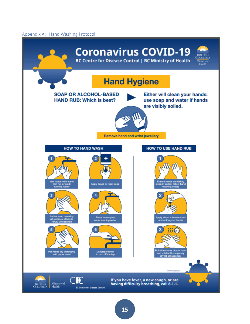#### <span id="page-15-0"></span>Appendix A: Hand Washing Protocol

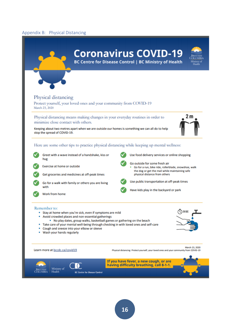#### <span id="page-16-0"></span>Appendix B: Physical Distancing